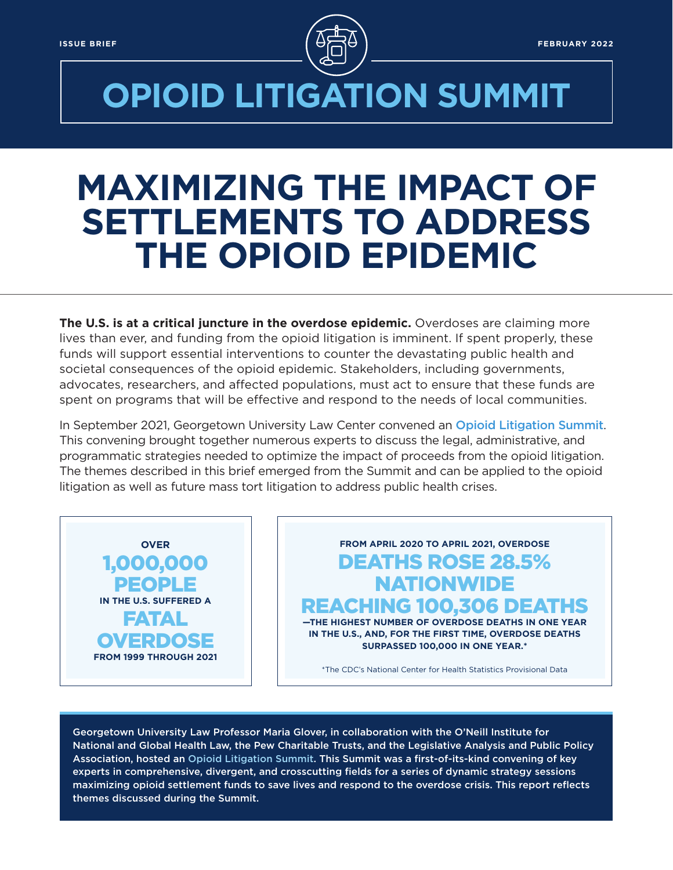

# **OPIOID LITIGATION SUMMIT**

## **MAXIMIZING THE IMPACT OF SETTLEMENTS TO ADDRESS THE OPIOID EPIDEMIC**

**The U.S. is at a critical juncture in the overdose epidemic.** Overdoses are claiming more lives than ever, and funding from the opioid litigation is imminent. If spent properly, these funds will support essential interventions to counter the devastating public health and societal consequences of the opioid epidemic. Stakeholders, including governments, advocates, researchers, and affected populations, must act to ensure that these funds are spent on programs that will be effective and respond to the needs of local communities.

In September 2021, Georgetown University Law Center convened an [Opioid Litigation Summit](https://oneill.law.georgetown.edu/events/opioid-litigation-summit/). This convening brought together numerous experts to discuss the legal, administrative, and programmatic strategies needed to optimize the impact of proceeds from the opioid litigation. The themes described in this brief emerged from the Summit and can be applied to the opioid litigation as well as future mass tort litigation to address public health crises.

**OVER** 1,000,000 PEOPLE **IN THE U.S. SUFFERED A**  FATAL OVERDOSE **FROM 1999 THROUGH 2021**

**FROM APRIL 2020 TO APRIL 2021, OVERDOSE**  DEATHS ROSE 28.5% NATIONWIDE REACHING 100.306 DEAT **—THE HIGHEST NUMBER OF OVERDOSE DEATHS IN ONE YEAR IN THE U.S., AND, FOR THE FIRST TIME, OVERDOSE DEATHS SURPASSED 100,000 IN ONE YEAR.\***

\*The CDC's National Center for Health Statistics Provisional Data

Georgetown University Law Professor Maria Glover, in collaboration with the O'Neill Institute for National and Global Health Law, the Pew Charitable Trusts, and the Legislative Analysis and Public Policy Association, hosted an [Opioid Litigation Summit](https://oneill.law.georgetown.edu/events/opioid-litigation-summit/). This Summit was a first-of-its-kind convening of key experts in comprehensive, divergent, and crosscutting fields for a series of dynamic strategy sessions maximizing opioid settlement funds to save lives and respond to the overdose crisis. This report reflects themes discussed during the Summit.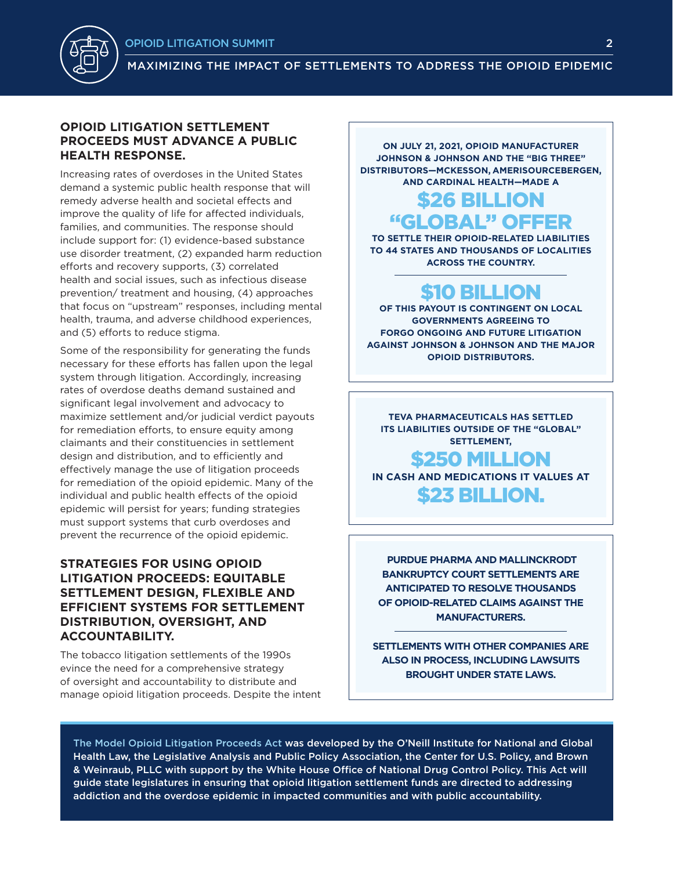

## MAXIMIZING THE IMPACT OF SETTLEMENTS TO ADDRESS THE OPIOID EPIDEMIC

## **OPIOID LITIGATION SETTLEMENT PROCEEDS MUST ADVANCE A PUBLIC HEALTH RESPONSE.**

Increasing rates of overdoses in the United States demand a systemic public health response that will remedy adverse health and societal effects and improve the quality of life for affected individuals, families, and communities. The response should include support for: (1) evidence-based substance use disorder treatment, (2) expanded harm reduction efforts and recovery supports, (3) correlated health and social issues, such as infectious disease prevention/ treatment and housing, (4) approaches that focus on "upstream" responses, including mental health, trauma, and adverse childhood experiences, and (5) efforts to reduce stigma.

Some of the responsibility for generating the funds necessary for these efforts has fallen upon the legal system through litigation. Accordingly, increasing rates of overdose deaths demand sustained and significant legal involvement and advocacy to maximize settlement and/or judicial verdict payouts for remediation efforts, to ensure equity among claimants and their constituencies in settlement design and distribution, and to efficiently and effectively manage the use of litigation proceeds for remediation of the opioid epidemic. Many of the individual and public health effects of the opioid epidemic will persist for years; funding strategies must support systems that curb overdoses and prevent the recurrence of the opioid epidemic.

## **STRATEGIES FOR USING OPIOID LITIGATION PROCEEDS: EQUITABLE SETTLEMENT DESIGN, FLEXIBLE AND EFFICIENT SYSTEMS FOR SETTLEMENT DISTRIBUTION, OVERSIGHT, AND ACCOUNTABILITY.**

The tobacco litigation settlements of the 1990s evince the need for a comprehensive strategy of oversight and accountability to distribute and manage opioid litigation proceeds. Despite the intent

**ON JULY 21, 2021, OPIOID MANUFACTURER JOHNSON & JOHNSON AND THE "BIG THREE" DISTRIBUTORS—MCKESSON, AMERISOURCEBERGEN, AND CARDINAL HEALTH—MADE A** 

## [\\$26 BILLION](https://www.opioidsettlementtracker.com/globalsettlementtracker)  ["GLOBAL" OFFER](https://www.opioidsettlementtracker.com/globalsettlementtracker)

**TO SETTLE THEIR OPIOID-RELATED LIABILITIES TO 44 STATES AND THOUSANDS OF LOCALITIES ACROSS THE COUNTRY.**

## \$10 BILLION

**OF THIS PAYOUT IS CONTINGENT ON LOCAL GOVERNMENTS AGREEING TO FORGO ONGOING AND FUTURE LITIGATION AGAINST JOHNSON & JOHNSON AND THE MAJOR OPIOID DISTRIBUTORS.**

**TEVA PHARMACEUTICALS HAS SETTLED ITS LIABILITIES OUTSIDE OF THE "GLOBAL" SETTLEMENT,**

## \$250 MILLION

**IN CASH AND MEDICATIONS IT VALUES AT** \$23 BILLION.

 **PURDUE PHARMA AND MALLINCKRODT BANKRUPTCY COURT SETTLEMENTS ARE ANTICIPATED TO RESOLVE THOUSANDS OF OPIOID-RELATED CLAIMS AGAINST THE MANUFACTURERS.**

**SETTLEMENTS WITH OTHER COMPANIES ARE ALSO IN PROCESS, INCLUDING LAWSUITS BROUGHT UNDER STATE LAWS.**

[The Model Opioid Litigation Proceeds Act](https://legislativeanalysis.org/wp-content/uploads/2021/10/Model-Opioid-Litigation-Proceeds-Act-FINAL.pdf) was developed by the O'Neill Institute for National and Global Health Law, the Legislative Analysis and Public Policy Association, the Center for U.S. Policy, and Brown & Weinraub, PLLC with support by the White House Office of National Drug Control Policy. This Act will guide state legislatures in ensuring that opioid litigation settlement funds are directed to addressing addiction and the overdose epidemic in impacted communities and with public accountability.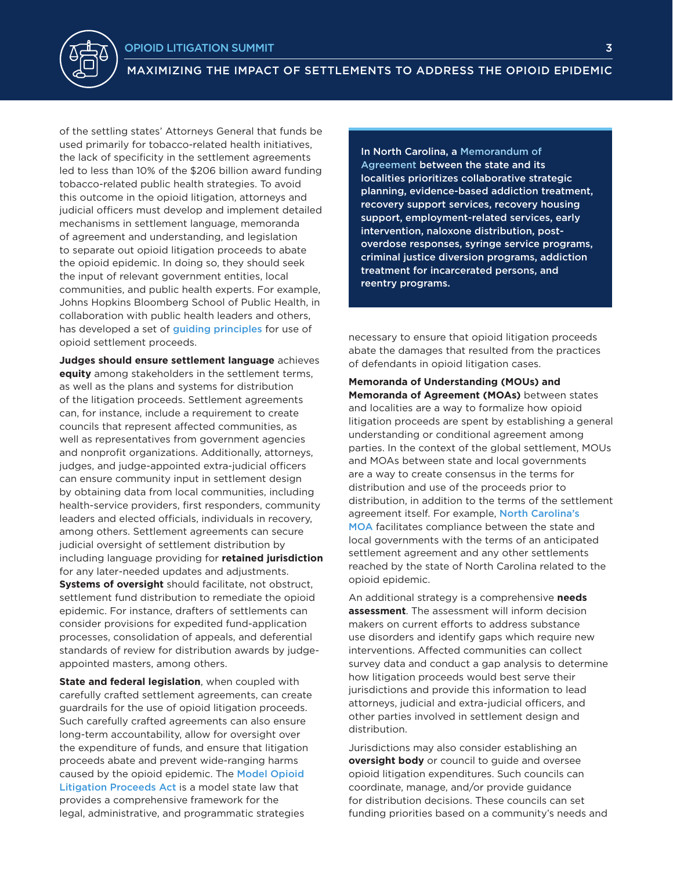## MAXIMIZING THE IMPACT OF SETTLEMENTS TO ADDRESS THE OPIOID EPIDEMIC

of the settling states' Attorneys General that funds be used primarily for tobacco-related health initiatives, the lack of specificity in the settlement agreements led to less than 10% of the \$206 billion award funding tobacco-related public health strategies. To avoid this outcome in the opioid litigation, attorneys and judicial officers must develop and implement detailed mechanisms in settlement language, memoranda of agreement and understanding, and legislation to separate out opioid litigation proceeds to abate the opioid epidemic. In doing so, they should seek the input of relevant government entities, local communities, and public health experts. For example, Johns Hopkins Bloomberg School of Public Health, in collaboration with public health leaders and others, has developed a set of **[guiding principles](https://opioidprinciples.jhsph.edu)** for use of opioid settlement proceeds.

**Judges should ensure settlement language** achieves **equity** among stakeholders in the settlement terms, as well as the plans and systems for distribution of the litigation proceeds. Settlement agreements can, for instance, include a requirement to create councils that represent affected communities, as well as representatives from government agencies and nonprofit organizations. Additionally, attorneys, judges, and judge-appointed extra-judicial officers can ensure community input in settlement design by obtaining data from local communities, including health-service providers, first responders, community leaders and elected officials, individuals in recovery, among others. Settlement agreements can secure judicial oversight of settlement distribution by including language providing for **retained jurisdiction** for any later-needed updates and adjustments. **Systems of oversight** should facilitate, not obstruct, settlement fund distribution to remediate the opioid epidemic. For instance, drafters of settlements can consider provisions for expedited fund-application processes, consolidation of appeals, and deferential standards of review for distribution awards by judgeappointed masters, among others.

**State and federal legislation**, when coupled with carefully crafted settlement agreements, can create guardrails for the use of opioid litigation proceeds. Such carefully crafted agreements can also ensure long-term accountability, allow for oversight over the expenditure of funds, and ensure that litigation proceeds abate and prevent wide-ranging harms caused by the opioid epidemic. The [Model Opioid](https://legislativeanalysis.org/wp-content/uploads/2021/10/Model-Opioid-Litigation-Proceeds-Act-FINAL.pdf)  [Litigation Proceeds Act](https://legislativeanalysis.org/wp-content/uploads/2021/10/Model-Opioid-Litigation-Proceeds-Act-FINAL.pdf) is a model state law that provides a comprehensive framework for the legal, administrative, and programmatic strategies

In North Carolina, a [Memorandum of](https://ncdoj.gov/wp-content/uploads/2021/04/Opioid-MOA.pdf)  [Agreement](https://ncdoj.gov/wp-content/uploads/2021/04/Opioid-MOA.pdf) between the state and its localities prioritizes collaborative strategic planning, evidence-based addiction treatment, recovery support services, recovery housing support, employment-related services, early intervention, naloxone distribution, postoverdose responses, syringe service programs, criminal justice diversion programs, addiction treatment for incarcerated persons, and reentry programs.

necessary to ensure that opioid litigation proceeds abate the damages that resulted from the practices of defendants in opioid litigation cases.

**Memoranda of Understanding (MOUs) and Memoranda of Agreement (MOAs)** between states and localities are a way to formalize how opioid litigation proceeds are spent by establishing a general understanding or conditional agreement among parties. In the context of the global settlement, MOUs and MOAs between state and local governments are a way to create consensus in the terms for distribution and use of the proceeds prior to distribution, in addition to the terms of the settlement agreement itself. For example, [North Carolina's](https://ncdoj.gov/wp-content/uploads/2021/04/Opioid-MOA.pdf)  [MOA](https://ncdoj.gov/wp-content/uploads/2021/04/Opioid-MOA.pdf) facilitates compliance between the state and local governments with the terms of an anticipated settlement agreement and any other settlements reached by the state of North Carolina related to the opioid epidemic.

An additional strategy is a comprehensive **needs assessment**. The assessment will inform decision makers on current efforts to address substance use disorders and identify gaps which require new interventions. Affected communities can collect survey data and conduct a gap analysis to determine how litigation proceeds would best serve their jurisdictions and provide this information to lead attorneys, judicial and extra-judicial officers, and other parties involved in settlement design and distribution.

Jurisdictions may also consider establishing an **oversight body** or council to guide and oversee opioid litigation expenditures. Such councils can coordinate, manage, and/or provide guidance for distribution decisions. These councils can set funding priorities based on a community's needs and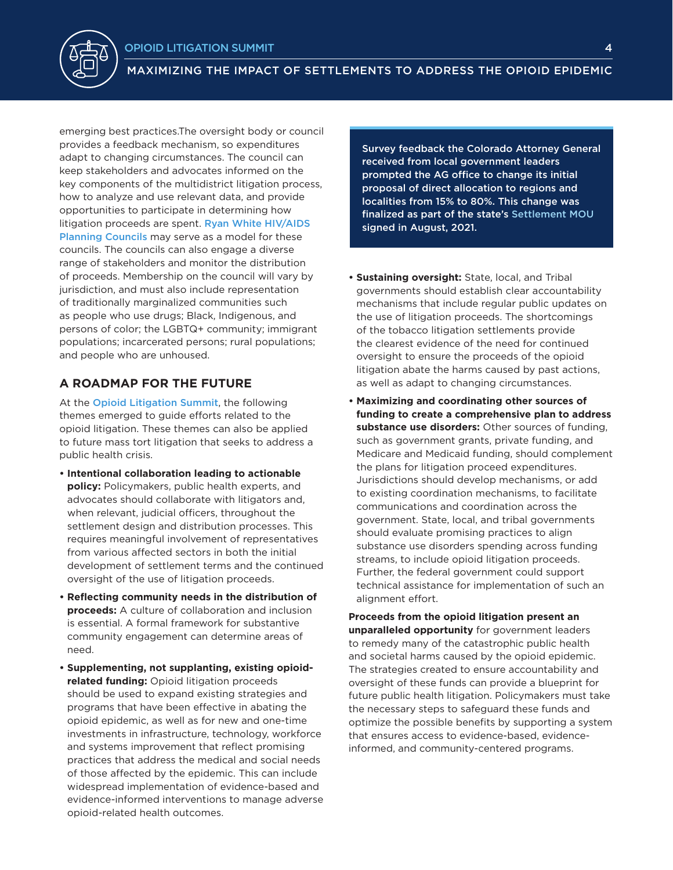

#### MAXIMIZING THE IMPACT OF SETTLEMENTS TO ADDRESS THE OPIOID EPIDEMIC

emerging best practices.The oversight body or council provides a feedback mechanism, so expenditures adapt to changing circumstances. The council can keep stakeholders and advocates informed on the key components of the multidistrict litigation process, how to analyze and use relevant data, and provide opportunities to participate in determining how litigation proceeds are spent. Ryan White HIV/AIDS [Planning Councils](https://www.hivlawandpolicy.org/sites/default/files/RYAN%20WHITE%20PLANNING%20COUNCILS%20and%20ADVOCACY%20MODEL%20-%20Community%20Advocate%20Toolkit%20-%209.3.13.pdf) may serve as a model for these councils. The councils can also engage a diverse range of stakeholders and monitor the distribution of proceeds. Membership on the council will vary by jurisdiction, and must also include representation of traditionally marginalized communities such as people who use drugs; Black, Indigenous, and persons of color; the LGBTQ+ community; immigrant populations; incarcerated persons; rural populations; and people who are unhoused.

#### **A ROADMAP FOR THE FUTURE**

At the [Opioid Litigation Summit](https://oneill.law.georgetown.edu/events/opioid-litigation-summit/), the following themes emerged to guide efforts related to the opioid litigation. These themes can also be applied to future mass tort litigation that seeks to address a public health crisis.

- **Intentional collaboration leading to actionable policy:** Policymakers, public health experts, and advocates should collaborate with litigators and, when relevant, judicial officers, throughout the settlement design and distribution processes. This requires meaningful involvement of representatives from various affected sectors in both the initial development of settlement terms and the continued oversight of the use of litigation proceeds.
- **Reflecting community needs in the distribution of proceeds:** A culture of collaboration and inclusion is essential. A formal framework for substantive community engagement can determine areas of need.
- **Supplementing, not supplanting, existing opioidrelated funding:** Opioid litigation proceeds should be used to expand existing strategies and programs that have been effective in abating the opioid epidemic, as well as for new and one-time investments in infrastructure, technology, workforce and systems improvement that reflect promising practices that address the medical and social needs of those affected by the epidemic. This can include widespread implementation of evidence-based and evidence-informed interventions to manage adverse opioid-related health outcomes.

Survey feedback the Colorado Attorney General received from local government leaders prompted the AG office to change its initial proposal of direct allocation to regions and localities from 15% to 80%. This change was finalized as part of the state's [Settlement MOU](https://coag.gov/app/uploads/2021/10/2-Colorado-Opioid-MOU-Summary.pdf) signed in August, 2021.

- **Sustaining oversight:** State, local, and Tribal governments should establish clear accountability mechanisms that include regular public updates on the use of litigation proceeds. The shortcomings of the tobacco litigation settlements provide the clearest evidence of the need for continued oversight to ensure the proceeds of the opioid litigation abate the harms caused by past actions, as well as adapt to changing circumstances.
- **Maximizing and coordinating other sources of funding to create a comprehensive plan to address substance use disorders:** Other sources of funding, such as government grants, private funding, and Medicare and Medicaid funding, should complement the plans for litigation proceed expenditures. Jurisdictions should develop mechanisms, or add to existing coordination mechanisms, to facilitate communications and coordination across the government. State, local, and tribal governments should evaluate promising practices to align substance use disorders spending across funding streams, to include opioid litigation proceeds. Further, the federal government could support technical assistance for implementation of such an alignment effort.

**Proceeds from the opioid litigation present an unparalleled opportunity** for government leaders to remedy many of the catastrophic public health and societal harms caused by the opioid epidemic. The strategies created to ensure accountability and oversight of these funds can provide a blueprint for future public health litigation. Policymakers must take the necessary steps to safeguard these funds and optimize the possible benefits by supporting a system that ensures access to evidence-based, evidenceinformed, and community-centered programs.